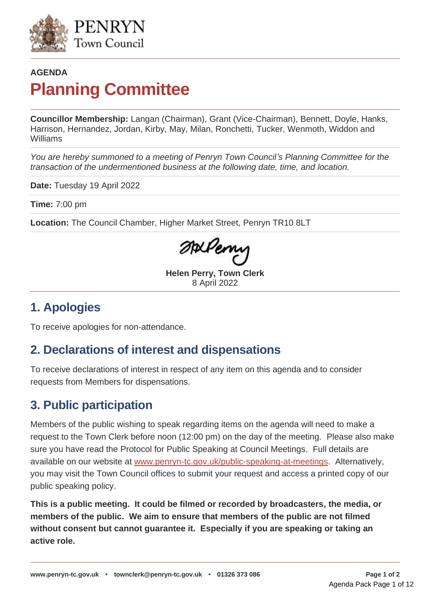

# **AGENDA Planning Committee**

**Councillor Membership:** Langan (Chairman), Grant (Vice-Chairman), Bennett, Doyle, Hanks, Harrison, Hernandez, Jordan, Kirby, May, Milan, Ronchetti, Tucker, Wenmoth, Widdon and Williams

*You are hereby summoned to a meeting of Penryn Town Council's Planning Committee for the transaction of the undermentioned business at the following date, time, and location.*

**Date:** Tuesday 19 April 2022

**Time:** 7:00 pm

**Location:** The Council Chamber, Higher Market Street, Penryn TR10 8LT

andery

**Helen Perry, Town Clerk** 8 April 2022

### **1. Apologies**

To receive apologies for non-attendance.

# **2. Declarations of interest and dispensations**

To receive declarations of interest in respect of any item on this agenda and to consider requests from Members for dispensations.

# **3. Public participation**

Members of the public wishing to speak regarding items on the agenda will need to make a request to the Town Clerk before noon (12:00 pm) on the day of the meeting. Please also make sure you have read the [Protocol for Public Speaking at Council Meetings.](https://www.penryn-tc.gov.uk/your-council/policies-and-plans/public-speaking-at-meetings/) Full details are available on our website at [www.penryn-tc.gov.uk/public-speaking-at-meetings.](https://www.penryn-tc.gov.uk/your-council/policies-and-plans/public-speaking-at-meetings/) Alternatively, you may visit the Town Council offices to submit your request and access a printed copy of our public speaking policy.

**This is a public meeting. It could be filmed or recorded by broadcasters, the media, or members of the public. We aim to ensure that members of the public are not filmed without consent but cannot guarantee it. Especially if you are speaking or taking an active role.**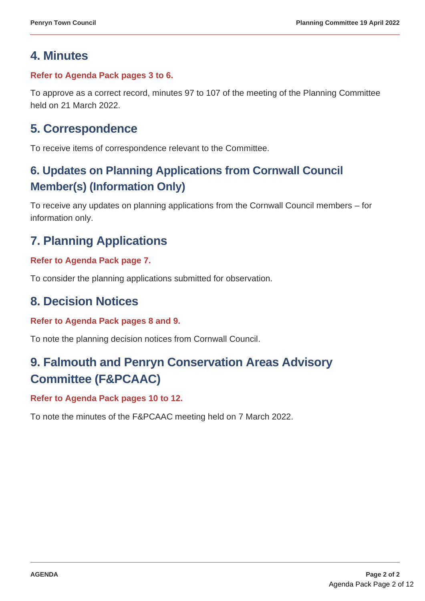# **4. Minutes**

#### **Refer to Agenda Pack pages 3 to 6.**

To approve as a correct record, minutes 97 to 107 of the meeting of the Planning Committee held on 21 March 2022.

### **5. Correspondence**

To receive items of correspondence relevant to the Committee.

### **6. Updates on Planning Applications from Cornwall Council Member(s) (Information Only)**

To receive any updates on planning applications from the Cornwall Council members – for information only.

# **7. Planning Applications**

#### **Refer to Agenda Pack page 7.**

To consider the planning applications submitted for observation.

### **8. Decision Notices**

#### **Refer to Agenda Pack pages 8 and 9.**

To note the planning decision notices from Cornwall Council.

# **9. Falmouth and Penryn Conservation Areas Advisory Committee (F&PCAAC)**

#### **Refer to Agenda Pack pages 10 to 12.**

To note the minutes of the F&PCAAC meeting held on 7 March 2022.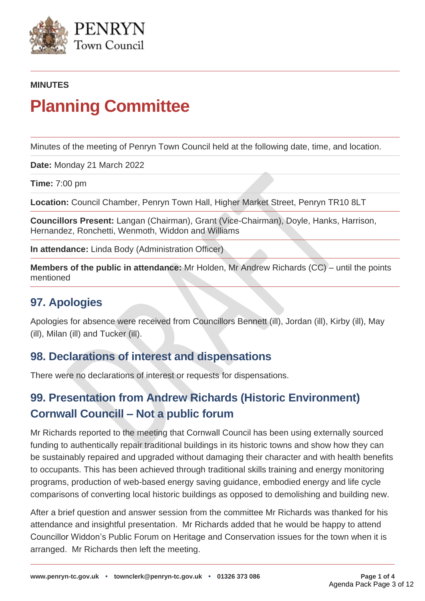

#### **MINUTES**

# **Planning Committee**

Minutes of the meeting of Penryn Town Council held at the following date, time, and location.

**Date:** Monday 21 March 2022

**Time:** 7:00 pm

**Location:** Council Chamber, Penryn Town Hall, Higher Market Street, Penryn TR10 8LT

**Councillors Present:** Langan (Chairman), Grant (Vice-Chairman), Doyle, Hanks, Harrison, Hernandez, Ronchetti, Wenmoth, Widdon and Williams

**In attendance:** Linda Body (Administration Officer)

**Members of the public in attendance:** Mr Holden, Mr Andrew Richards (CC) – until the points mentioned

#### **97. Apologies**

Apologies for absence were received from Councillors Bennett (ill), Jordan (ill), Kirby (ill), May (ill), Milan (ill) and Tucker (ill).

#### **98. Declarations of interest and dispensations**

There were no declarations of interest or requests for dispensations.

### **99. Presentation from Andrew Richards (Historic Environment) Cornwall Councill – Not a public forum**

Mr Richards reported to the meeting that Cornwall Council has been using externally sourced funding to authentically repair traditional buildings in its historic towns and show how they can be sustainably repaired and upgraded without damaging their character and with health benefits to occupants. This has been achieved through traditional skills training and energy monitoring programs, production of web-based energy saving guidance, embodied energy and life cycle comparisons of converting local historic buildings as opposed to demolishing and building new.

After a brief question and answer session from the committee Mr Richards was thanked for his attendance and insightful presentation. Mr Richards added that he would be happy to attend Councillor Widdon's Public Forum on Heritage and Conservation issues for the town when it is arranged. Mr Richards then left the meeting.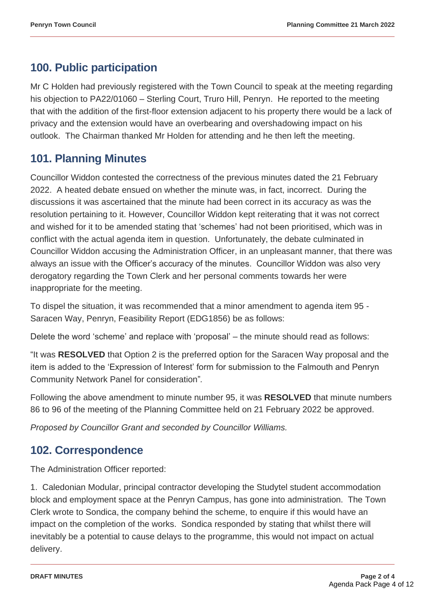### **100. Public participation**

Mr C Holden had previously registered with the Town Council to speak at the meeting regarding his objection to PA22/01060 – Sterling Court, Truro Hill, Penryn. He reported to the meeting that with the addition of the first-floor extension adjacent to his property there would be a lack of privacy and the extension would have an overbearing and overshadowing impact on his outlook. The Chairman thanked Mr Holden for attending and he then left the meeting.

### **101. Planning Minutes**

Councillor Widdon contested the correctness of the previous minutes dated the 21 February 2022. A heated debate ensued on whether the minute was, in fact, incorrect. During the discussions it was ascertained that the minute had been correct in its accuracy as was the resolution pertaining to it. However, Councillor Widdon kept reiterating that it was not correct and wished for it to be amended stating that 'schemes' had not been prioritised, which was in conflict with the actual agenda item in question. Unfortunately, the debate culminated in Councillor Widdon accusing the Administration Officer, in an unpleasant manner, that there was always an issue with the Officer's accuracy of the minutes. Councillor Widdon was also very derogatory regarding the Town Clerk and her personal comments towards her were inappropriate for the meeting.

To dispel the situation, it was recommended that a minor amendment to agenda item 95 - Saracen Way, Penryn, Feasibility Report (EDG1856) be as follows:

Delete the word 'scheme' and replace with 'proposal' – the minute should read as follows:

"It was **RESOLVED** that Option 2 is the preferred option for the Saracen Way proposal and the item is added to the 'Expression of Interest' form for submission to the Falmouth and Penryn Community Network Panel for consideration"*.*

Following the above amendment to minute number 95, it was **RESOLVED** that minute numbers 86 to 96 of the meeting of the Planning Committee held on 21 February 2022 be approved.

*Proposed by Councillor Grant and seconded by Councillor Williams.*

### **102. Correspondence**

The Administration Officer reported:

1. Caledonian Modular, principal contractor developing the Studytel student accommodation block and employment space at the Penryn Campus, has gone into administration. The Town Clerk wrote to Sondica, the company behind the scheme, to enquire if this would have an impact on the completion of the works. Sondica responded by stating that whilst there will inevitably be a potential to cause delays to the programme, this would not impact on actual delivery.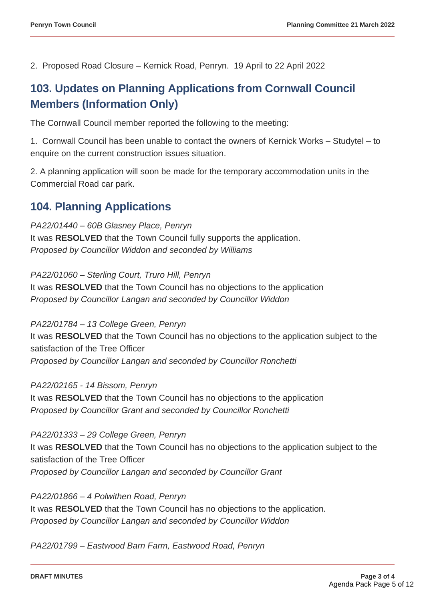2. Proposed Road Closure – Kernick Road, Penryn. 19 April to 22 April 2022

### **103. Updates on Planning Applications from Cornwall Council Members (Information Only)**

The Cornwall Council member reported the following to the meeting:

1. Cornwall Council has been unable to contact the owners of Kernick Works – Studytel – to enquire on the current construction issues situation.

2. A planning application will soon be made for the temporary accommodation units in the Commercial Road car park.

#### **104. Planning Applications**

*PA22/01440 – 60B Glasney Place, Penryn* It was **RESOLVED** that the Town Council fully supports the application. *Proposed by Councillor Widdon and seconded by Williams*

*PA22/01060 – Sterling Court, Truro Hill, Penryn* It was **RESOLVED** that the Town Council has no objections to the application *Proposed by Councillor Langan and seconded by Councillor Widdon*

*PA22/01784 – 13 College Green, Penryn* It was **RESOLVED** that the Town Council has no objections to the application subject to the satisfaction of the Tree Officer *Proposed by Councillor Langan and seconded by Councillor Ronchetti*

*PA22/02165 - 14 Bissom, Penryn* It was **RESOLVED** that the Town Council has no objections to the application *Proposed by Councillor Grant and seconded by Councillor Ronchetti*

*PA22/01333 – 29 College Green, Penryn* It was **RESOLVED** that the Town Council has no objections to the application subject to the satisfaction of the Tree Officer *Proposed by Councillor Langan and seconded by Councillor Grant*

*PA22/01866 – 4 Polwithen Road, Penryn* It was **RESOLVED** that the Town Council has no objections to the application*. Proposed by Councillor Langan and seconded by Councillor Widdon*

*PA22/01799 – Eastwood Barn Farm, Eastwood Road, Penryn*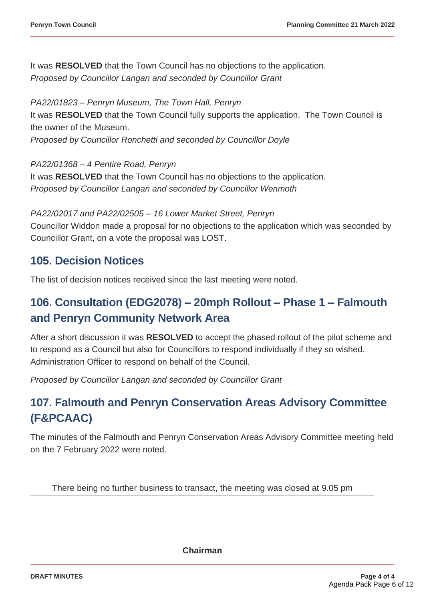It was **RESOLVED** that the Town Council has no objections to the application. *Proposed by Councillor Langan and seconded by Councillor Grant*

*PA22/01823 – Penryn Museum, The Town Hall, Penryn* It was **RESOLVED** that the Town Council fully supports the application. The Town Council is the owner of the Museum. *Proposed by Councillor Ronchetti and seconded by Councillor Doyle*

*PA22/01368 – 4 Pentire Road, Penryn*

It was **RESOLVED** that the Town Council has no objections to the application*. Proposed by Councillor Langan and seconded by Councillor Wenmoth*

*PA22/02017 and PA22/02505 – 16 Lower Market Street, Penryn* Councillor Widdon made a proposal for no objections to the application which was seconded by Councillor Grant, on a vote the proposal was LOST.

#### **105. Decision Notices**

The list of decision notices received since the last meeting were noted.

### **106. Consultation (EDG2078) – 20mph Rollout – Phase 1 – Falmouth and Penryn Community Network Area**

After a short discussion it was **RESOLVED** to accept the phased rollout of the pilot scheme and to respond as a Council but also for Councillors to respond individually if they so wished. Administration Officer to respond on behalf of the Council.

*Proposed by Councillor Langan and seconded by Councillor Grant*

### **107. Falmouth and Penryn Conservation Areas Advisory Committee (F&PCAAC)**

The minutes of the Falmouth and Penryn Conservation Areas Advisory Committee meeting held on the 7 February 2022 were noted.

There being no further business to transact, the meeting was closed at 9.05 pm

**Chairman**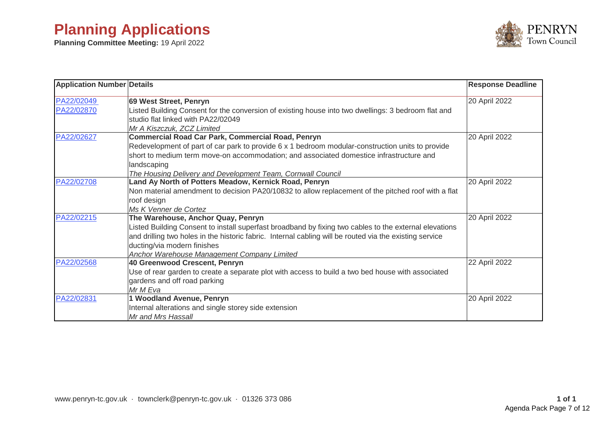# **Planning Applications**

**Planning Committee Meeting:** 19 April 2022



| <b>Application Number Details</b> |                                                                                                         | <b>Response Deadline</b> |
|-----------------------------------|---------------------------------------------------------------------------------------------------------|--------------------------|
| PA22/02049                        | 69 West Street, Penryn                                                                                  | 20 April 2022            |
| PA22/02870                        | Listed Building Consent for the conversion of existing house into two dwellings: 3 bedroom flat and     |                          |
|                                   | studio flat linked with PA22/02049                                                                      |                          |
|                                   | Mr A Kiszczuk, ZCZ Limited                                                                              |                          |
| PA22/02627                        | <b>Commercial Road Car Park, Commercial Road, Penryn</b>                                                | 20 April 2022            |
|                                   | Redevelopment of part of car park to provide 6 x 1 bedroom modular-construction units to provide        |                          |
|                                   | short to medium term move-on accommodation; and associated domestice infrastructure and                 |                          |
|                                   | landscaping                                                                                             |                          |
|                                   | The Housing Delivery and Development Team, Cornwall Council                                             |                          |
| PA22/02708                        | Land Ay North of Potters Meadow, Kernick Road, Penryn                                                   | 20 April 2022            |
|                                   | Non material amendment to decision PA20/10832 to allow replacement of the pitched roof with a flat      |                          |
|                                   | roof design                                                                                             |                          |
|                                   | Ms K Venner de Cortez                                                                                   |                          |
| PA22/02215                        | The Warehouse, Anchor Quay, Penryn                                                                      | 20 April 2022            |
|                                   | Listed Building Consent to install superfast broadband by fixing two cables to the external elevations  |                          |
|                                   | and drilling two holes in the historic fabric. Internal cabling will be routed via the existing service |                          |
|                                   | ducting/via modern finishes                                                                             |                          |
|                                   | Anchor Warehouse Management Company Limited                                                             |                          |
| PA22/02568                        | 40 Greenwood Crescent, Penryn                                                                           | 22 April 2022            |
|                                   | Use of rear garden to create a separate plot with access to build a two bed house with associated       |                          |
|                                   | gardens and off road parking                                                                            |                          |
|                                   | Mr M Eva                                                                                                |                          |
| PA22/02831                        | 1 Woodland Avenue, Penryn                                                                               | 20 April 2022            |
|                                   | Internal alterations and single storey side extension                                                   |                          |
|                                   | Mr and Mrs Hassall                                                                                      |                          |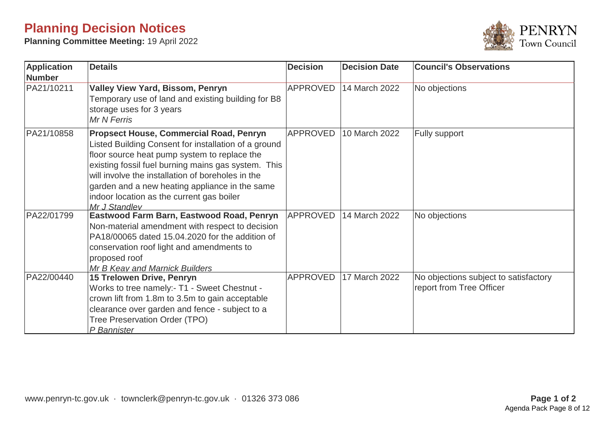# **Planning Decision Notices**

**Planning Committee Meeting:** 19 April 2022



| <b>Application</b><br><b>Number</b> | <b>Details</b>                                                                                                                                                                                                                                                                                                                                                                     | <b>Decision</b> | <b>Decision Date</b> | <b>Council's Observations</b>                                     |
|-------------------------------------|------------------------------------------------------------------------------------------------------------------------------------------------------------------------------------------------------------------------------------------------------------------------------------------------------------------------------------------------------------------------------------|-----------------|----------------------|-------------------------------------------------------------------|
| PA21/10211                          | <b>Valley View Yard, Bissom, Penryn</b><br>Temporary use of land and existing building for B8<br>storage uses for 3 years<br>Mr N Ferris                                                                                                                                                                                                                                           | <b>APPROVED</b> | 14 March 2022        | No objections                                                     |
| PA21/10858                          | <b>Propsect House, Commercial Road, Penryn</b><br>Listed Building Consent for installation of a ground<br>floor source heat pump system to replace the<br>existing fossil fuel burning mains gas system. This<br>will involve the installation of boreholes in the<br>garden and a new heating appliance in the same<br>indoor location as the current gas boiler<br>Mr J Standlev | <b>APPROVED</b> | 10 March 2022        | Fully support                                                     |
| PA22/01799                          | Eastwood Farm Barn, Eastwood Road, Penryn<br>Non-material amendment with respect to decision<br>PA18/00065 dated 15.04.2020 for the addition of<br>conservation roof light and amendments to<br>proposed roof<br>Mr B Keay and Marnick Builders                                                                                                                                    | <b>APPROVED</b> | 14 March 2022        | No objections                                                     |
| PA22/00440                          | <b>15 Trelowen Drive, Penryn</b><br>Works to tree namely:- T1 - Sweet Chestnut -<br>crown lift from 1.8m to 3.5m to gain acceptable<br>clearance over garden and fence - subject to a<br>Tree Preservation Order (TPO)<br>P Bannister                                                                                                                                              | <b>APPROVED</b> | 17 March 2022        | No objections subject to satisfactory<br>report from Tree Officer |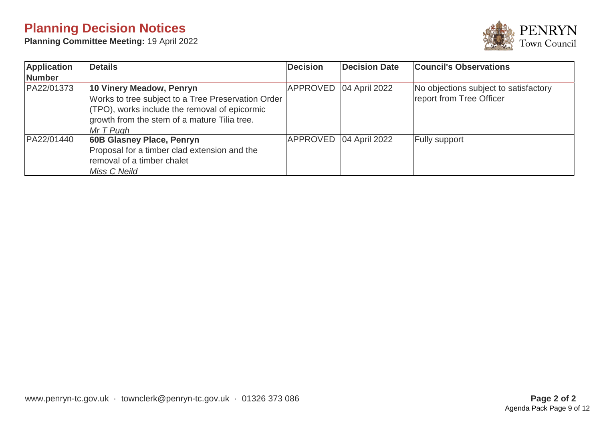# **Planning Decision Notices**

**Planning Committee Meeting:** 19 April 2022



| Application   | <b>Details</b>                                                                                                                                                                                | <b>Decision</b> | <b>Decision Date</b>     | <b>Council's Observations</b>                                     |
|---------------|-----------------------------------------------------------------------------------------------------------------------------------------------------------------------------------------------|-----------------|--------------------------|-------------------------------------------------------------------|
| <b>Number</b> |                                                                                                                                                                                               |                 |                          |                                                                   |
| PA22/01373    | 10 Vinery Meadow, Penryn<br>Works to tree subject to a Tree Preservation Order<br>(TPO), works include the removal of epicormic<br>growth from the stem of a mature Tilia tree.<br>$MrT$ Pugh |                 | APPROVED   04 April 2022 | No objections subject to satisfactory<br>report from Tree Officer |
| PA22/01440    | 60B Glasney Place, Penryn<br>Proposal for a timber clad extension and the<br>removal of a timber chalet<br>Miss C Neild                                                                       |                 | APPROVED 04 April 2022   | <b>Fully support</b>                                              |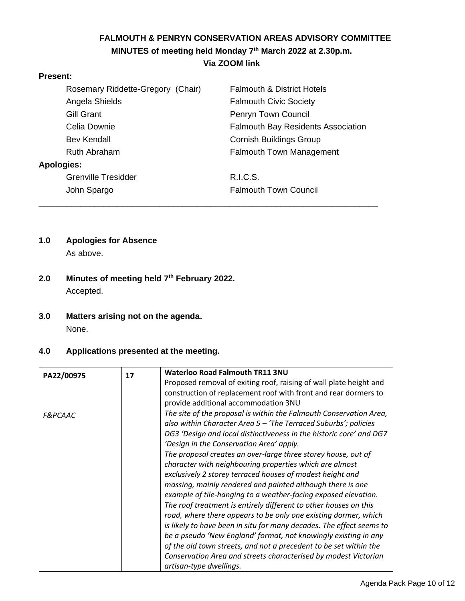#### **FALMOUTH & PENRYN CONSERVATION AREAS ADVISORY COMMITTEE MINUTES of meeting held Monday 7 th March 2022 at 2.30p.m. Via ZOOM link**

#### **Present:**

| Rosemary Riddette-Gregory (Chair) | <b>Falmouth &amp; District Hotels</b>     |
|-----------------------------------|-------------------------------------------|
| Angela Shields                    | <b>Falmouth Civic Society</b>             |
| Gill Grant                        | Penryn Town Council                       |
| Celia Downie                      | <b>Falmouth Bay Residents Association</b> |
| Bev Kendall                       | <b>Cornish Buildings Group</b>            |
| Ruth Abraham                      | <b>Falmouth Town Management</b>           |
| Apologies:                        |                                           |
| <b>Grenville Tresidder</b>        | <b>R.I.C.S.</b>                           |
| John Spargo                       | <b>Falmouth Town Council</b>              |
|                                   |                                           |

# **1.0 Apologies for Absence**

As above.

- **2.0 Minutes of meeting held 7 th February 2022.** Accepted.
- **3.0 Matters arising not on the agenda.** None.

#### **4.0 Applications presented at the meeting.**

| Proposed removal of exiting roof, raising of wall plate height and   |
|----------------------------------------------------------------------|
| construction of replacement roof with front and rear dormers to      |
|                                                                      |
| The site of the proposal is within the Falmouth Conservation Area,   |
| also within Character Area $5$ – 'The Terraced Suburbs'; policies    |
| DG3 'Design and local distinctiveness in the historic core' and DG7  |
|                                                                      |
| The proposal creates an over-large three storey house, out of        |
| character with neighbouring properties which are almost              |
| exclusively 2 storey terraced houses of modest height and            |
| massing, mainly rendered and painted although there is one           |
| example of tile-hanging to a weather-facing exposed elevation.       |
| The roof treatment is entirely different to other houses on this     |
| road, where there appears to be only one existing dormer, which      |
| is likely to have been in situ for many decades. The effect seems to |
| be a pseudo 'New England' format, not knowingly existing in any      |
| of the old town streets, and not a precedent to be set within the    |
| Conservation Area and streets characterised by modest Victorian      |
|                                                                      |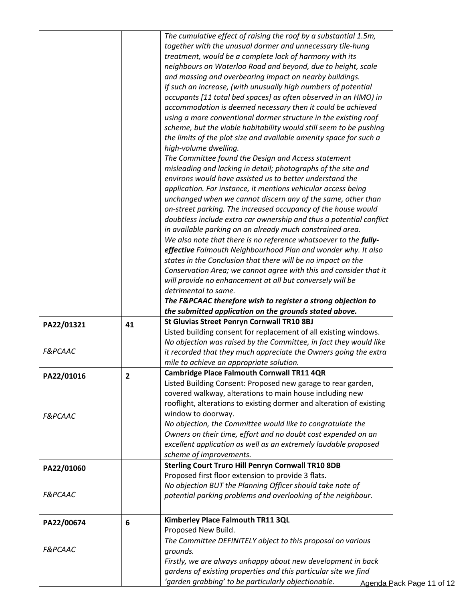|                                                                                            |                | The cumulative effect of raising the roof by a substantial 1.5m,                                                       |                           |
|--------------------------------------------------------------------------------------------|----------------|------------------------------------------------------------------------------------------------------------------------|---------------------------|
|                                                                                            |                | together with the unusual dormer and unnecessary tile-hung                                                             |                           |
|                                                                                            |                | treatment, would be a complete lack of harmony with its                                                                |                           |
|                                                                                            |                | neighbours on Waterloo Road and beyond, due to height, scale                                                           |                           |
|                                                                                            |                | and massing and overbearing impact on nearby buildings.                                                                |                           |
|                                                                                            |                | If such an increase, (with unusually high numbers of potential                                                         |                           |
|                                                                                            |                | occupants [11 total bed spaces] as often observed in an HMO) in                                                        |                           |
|                                                                                            |                | accommodation is deemed necessary then it could be achieved                                                            |                           |
|                                                                                            |                | using a more conventional dormer structure in the existing roof                                                        |                           |
|                                                                                            |                | scheme, but the viable habitability would still seem to be pushing                                                     |                           |
|                                                                                            |                | the limits of the plot size and available amenity space for such a                                                     |                           |
|                                                                                            |                | high-volume dwelling.                                                                                                  |                           |
|                                                                                            |                | The Committee found the Design and Access statement                                                                    |                           |
|                                                                                            |                | misleading and lacking in detail; photographs of the site and                                                          |                           |
|                                                                                            |                | environs would have assisted us to better understand the                                                               |                           |
|                                                                                            |                |                                                                                                                        |                           |
|                                                                                            |                | application. For instance, it mentions vehicular access being                                                          |                           |
|                                                                                            |                | unchanged when we cannot discern any of the same, other than                                                           |                           |
|                                                                                            |                | on-street parking. The increased occupancy of the house would                                                          |                           |
|                                                                                            |                | doubtless include extra car ownership and thus a potential conflict                                                    |                           |
|                                                                                            |                | in available parking on an already much constrained area.                                                              |                           |
|                                                                                            |                | We also note that there is no reference whatsoever to the fully-                                                       |                           |
|                                                                                            |                | effective Falmouth Neighbourhood Plan and wonder why. It also                                                          |                           |
|                                                                                            |                | states in the Conclusion that there will be no impact on the                                                           |                           |
|                                                                                            |                | Conservation Area; we cannot agree with this and consider that it                                                      |                           |
|                                                                                            |                | will provide no enhancement at all but conversely will be                                                              |                           |
|                                                                                            |                | detrimental to same.                                                                                                   |                           |
|                                                                                            |                | The F&PCAAC therefore wish to register a strong objection to                                                           |                           |
|                                                                                            |                | the submitted application on the grounds stated above.                                                                 |                           |
| PA22/01321                                                                                 | 41             | St Gluvias Street Penryn Cornwall TR10 8BJ                                                                             |                           |
|                                                                                            |                | Listed building consent for replacement of all existing windows.                                                       |                           |
|                                                                                            |                | No objection was raised by the Committee, in fact they would like                                                      |                           |
| <b>F&amp;PCAAC</b>                                                                         |                | it recorded that they much appreciate the Owners going the extra                                                       |                           |
|                                                                                            |                | mile to achieve an appropriate solution.                                                                               |                           |
| PA22/01016                                                                                 | $\overline{2}$ | <b>Cambridge Place Falmouth Cornwall TR11 4QR</b>                                                                      |                           |
|                                                                                            |                | Listed Building Consent: Proposed new garage to rear garden,                                                           |                           |
|                                                                                            |                | covered walkway, alterations to main house including new                                                               |                           |
|                                                                                            |                |                                                                                                                        |                           |
|                                                                                            |                | rooflight, alterations to existing dormer and alteration of existing                                                   |                           |
|                                                                                            |                | window to doorway.                                                                                                     |                           |
|                                                                                            |                | No objection, the Committee would like to congratulate the                                                             |                           |
|                                                                                            |                | Owners on their time, effort and no doubt cost expended on an                                                          |                           |
|                                                                                            |                | excellent application as well as an extremely laudable proposed                                                        |                           |
|                                                                                            |                | scheme of improvements.                                                                                                |                           |
|                                                                                            |                | <b>Sterling Court Truro Hill Penryn Cornwall TR10 8DB</b>                                                              |                           |
|                                                                                            |                | Proposed first floor extension to provide 3 flats.                                                                     |                           |
|                                                                                            |                | No objection BUT the Planning Officer should take note of                                                              |                           |
|                                                                                            |                | potential parking problems and overlooking of the neighbour.                                                           |                           |
|                                                                                            |                |                                                                                                                        |                           |
|                                                                                            |                |                                                                                                                        |                           |
|                                                                                            | 6              | Kimberley Place Falmouth TR11 3QL                                                                                      |                           |
|                                                                                            |                | Proposed New Build.                                                                                                    |                           |
|                                                                                            |                | The Committee DEFINITELY object to this proposal on various                                                            |                           |
| <b>F&amp;PCAAC</b><br>PA22/01060<br><b>F&amp;PCAAC</b><br>PA22/00674<br><b>F&amp;PCAAC</b> |                | grounds.                                                                                                               |                           |
|                                                                                            |                | Firstly, we are always unhappy about new development in back                                                           |                           |
|                                                                                            |                | gardens of existing properties and this particular site we find<br>'garden grabbing' to be particularly objectionable. | Agenda Pack Page 11 of 12 |